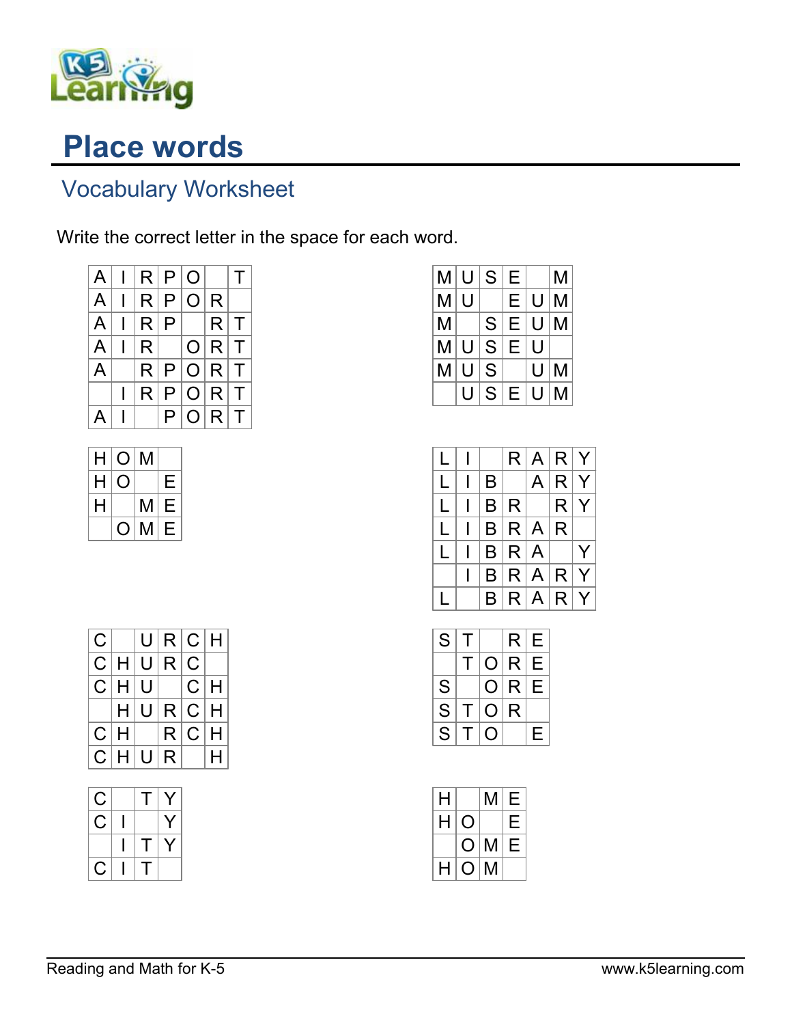

## Place words

## Vocabulary Worksheet

Write the correct letter in the space for each word.

| $A \mid$     | $\mathbf{L}$ | R P O           |   |           |       | T |
|--------------|--------------|-----------------|---|-----------|-------|---|
| $\mathsf{A}$ |              | $R$ $P$ $O$ $R$ |   |           |       |   |
| $\mathsf{A}$ |              | R P             |   |           | R T   |   |
| $\mathsf{A}$ |              | R               |   |           | O R T |   |
| A            |              |                 |   | R P O R T |       |   |
|              |              | R.              |   | P O R T   |       |   |
| A            |              |                 | P |           | O R T |   |

| Н | O | M |   |
|---|---|---|---|
| н |   |   | Е |
| н |   | M | Е |
|   |   | M | F |

| M | U | S | Е |   | М |
|---|---|---|---|---|---|
| M | U |   | E | U | М |
| M |   | S | E | U | М |
| M | U | S | E | U |   |
| М | U | S |   | U | М |
|   |   | S | E | U | М |

|   |   |     | $R$ $A$ $R$ $Y$ |                                |   |
|---|---|-----|-----------------|--------------------------------|---|
| L | B |     |                 | A R Y                          |   |
| L |   | B R |                 | $\left\lfloor R \right\rfloor$ | Y |
| L |   |     | B R A R         |                                |   |
| L |   |     | B R A           |                                | Y |
|   |   |     | B R A R Y       |                                |   |
|   |   |     | B R A R Y       |                                |   |

| S | т |   | R            | Е |
|---|---|---|--------------|---|
|   |   | O | R            | Е |
| S |   | O | $\mathsf{R}$ | Е |
| S |   | O | R            |   |
| S |   |   |              | Е |

| H |     | M | Е |
|---|-----|---|---|
| H |     |   | Е |
|   | ( ) | M | F |
| H | O   | M |   |

| C. |           |     | U R C H |       |  |
|----|-----------|-----|---------|-------|--|
|    | C H U R C |     |         |       |  |
|    | C H U     |     |         | C H   |  |
|    |           | H U | R C H   |       |  |
|    | C H       |     |         | R C H |  |
|    |           |     |         |       |  |

| С   | L  | Y |
|-----|----|---|
| تما |    |   |
|     | ſ. |   |
| C   | L  |   |